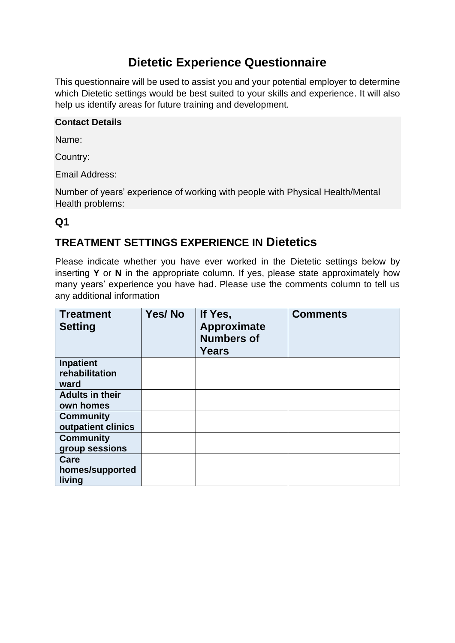# **Dietetic Experience Questionnaire**

This questionnaire will be used to assist you and your potential employer to determine which Dietetic settings would be best suited to your skills and experience. It will also help us identify areas for future training and development.

#### **Contact Details**

Name:

Country:

Email Address:

Number of years' experience of working with people with Physical Health/Mental Health problems:

#### **Q1**

### **TREATMENT SETTINGS EXPERIENCE IN Dietetics**

Please indicate whether you have ever worked in the Dietetic settings below by inserting **Y** or **N** in the appropriate column. If yes, please state approximately how many years' experience you have had. Please use the comments column to tell us any additional information

| <b>Treatment</b><br><b>Setting</b> | Yes/No | If Yes,<br>Approximate<br><b>Numbers of</b><br><b>Years</b> | <b>Comments</b> |
|------------------------------------|--------|-------------------------------------------------------------|-----------------|
| <b>Inpatient</b>                   |        |                                                             |                 |
| rehabilitation                     |        |                                                             |                 |
| ward                               |        |                                                             |                 |
| <b>Adults in their</b>             |        |                                                             |                 |
| own homes                          |        |                                                             |                 |
| <b>Community</b>                   |        |                                                             |                 |
| outpatient clinics                 |        |                                                             |                 |
| <b>Community</b>                   |        |                                                             |                 |
| group sessions                     |        |                                                             |                 |
| Care                               |        |                                                             |                 |
| homes/supported                    |        |                                                             |                 |
| living                             |        |                                                             |                 |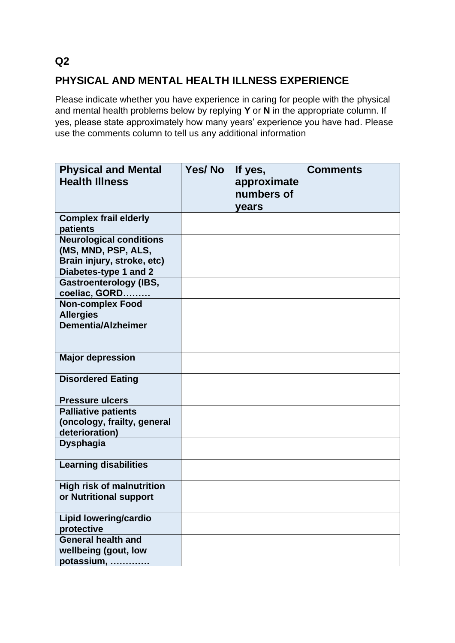# **PHYSICAL AND MENTAL HEALTH ILLNESS EXPERIENCE**

Please indicate whether you have experience in caring for people with the physical and mental health problems below by replying **Y** or **N** in the appropriate column. If yes, please state approximately how many years' experience you have had. Please use the comments column to tell us any additional information

| <b>Physical and Mental</b><br><b>Health Illness</b>                                 | Yes/No | If yes,<br>approximate<br>numbers of<br>years | <b>Comments</b> |
|-------------------------------------------------------------------------------------|--------|-----------------------------------------------|-----------------|
| <b>Complex frail elderly</b><br>patients                                            |        |                                               |                 |
| <b>Neurological conditions</b><br>(MS, MND, PSP, ALS,<br>Brain injury, stroke, etc) |        |                                               |                 |
| Diabetes-type 1 and 2                                                               |        |                                               |                 |
| <b>Gastroenterology (IBS,</b><br>coeliac, GORD                                      |        |                                               |                 |
| <b>Non-complex Food</b><br><b>Allergies</b>                                         |        |                                               |                 |
| <b>Dementia/Alzheimer</b>                                                           |        |                                               |                 |
| <b>Major depression</b>                                                             |        |                                               |                 |
| <b>Disordered Eating</b>                                                            |        |                                               |                 |
| <b>Pressure ulcers</b>                                                              |        |                                               |                 |
| <b>Palliative patients</b><br>(oncology, frailty, general<br>deterioration)         |        |                                               |                 |
| <b>Dysphagia</b>                                                                    |        |                                               |                 |
| <b>Learning disabilities</b>                                                        |        |                                               |                 |
| <b>High risk of malnutrition</b><br>or Nutritional support                          |        |                                               |                 |
| <b>Lipid lowering/cardio</b><br>protective                                          |        |                                               |                 |
| <b>General health and</b><br>wellbeing (gout, low<br>potassium,                     |        |                                               |                 |

**Q2**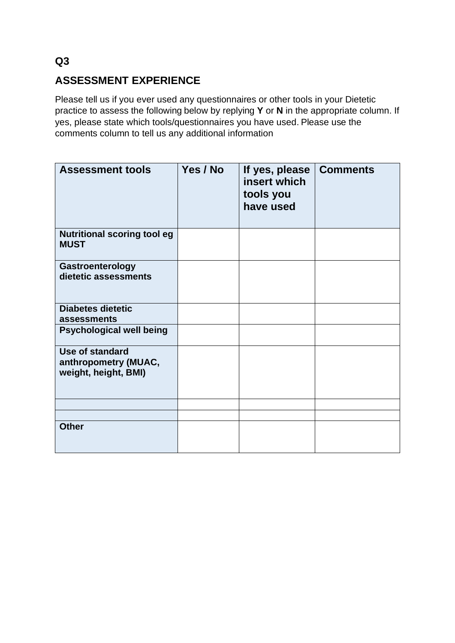# **ASSESSMENT EXPERIENCE**

Please tell us if you ever used any questionnaires or other tools in your Dietetic practice to assess the following below by replying **Y** or **N** in the appropriate column. If yes, please state which tools/questionnaires you have used. Please use the comments column to tell us any additional information

| <b>Assessment tools</b>                                                | Yes / No | If yes, please<br>insert which<br>tools you<br>have used | <b>Comments</b> |
|------------------------------------------------------------------------|----------|----------------------------------------------------------|-----------------|
| <b>Nutritional scoring tool eg</b><br><b>MUST</b>                      |          |                                                          |                 |
| Gastroenterology<br>dietetic assessments                               |          |                                                          |                 |
| <b>Diabetes dietetic</b><br>assessments                                |          |                                                          |                 |
| <b>Psychological well being</b>                                        |          |                                                          |                 |
| <b>Use of standard</b><br>anthropometry (MUAC,<br>weight, height, BMI) |          |                                                          |                 |
|                                                                        |          |                                                          |                 |
|                                                                        |          |                                                          |                 |
| <b>Other</b>                                                           |          |                                                          |                 |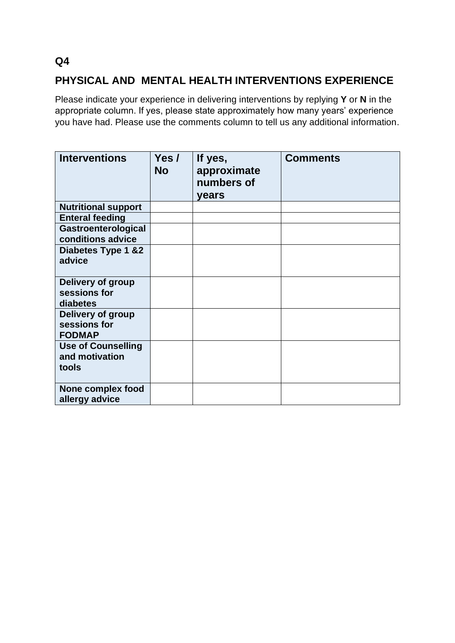### **Q4**

### **PHYSICAL AND MENTAL HEALTH INTERVENTIONS EXPERIENCE**

Please indicate your experience in delivering interventions by replying **Y** or **N** in the appropriate column. If yes, please state approximately how many years' experience you have had. Please use the comments column to tell us any additional information.

| <b>Interventions</b>                                 | Yes /<br><b>No</b> | If yes,<br>approximate<br>numbers of<br>years | <b>Comments</b> |
|------------------------------------------------------|--------------------|-----------------------------------------------|-----------------|
| <b>Nutritional support</b>                           |                    |                                               |                 |
| <b>Enteral feeding</b>                               |                    |                                               |                 |
| Gastroenterological<br>conditions advice             |                    |                                               |                 |
| Diabetes Type 1 & 2<br>advice                        |                    |                                               |                 |
| Delivery of group<br>sessions for<br>diabetes        |                    |                                               |                 |
| Delivery of group<br>sessions for<br><b>FODMAP</b>   |                    |                                               |                 |
| <b>Use of Counselling</b><br>and motivation<br>tools |                    |                                               |                 |
| None complex food<br>allergy advice                  |                    |                                               |                 |